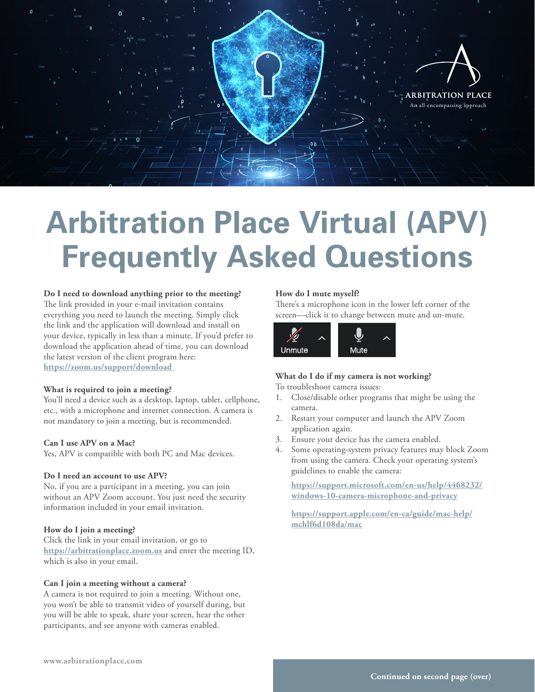

# **Arbitration Place Virtual (APV) Frequently Asked Questions**

## **Do I need to download anything prior to the meeting?**

The link provided in your e-mail invitation contains everything you need to launch the meeting. Simply click the link and the application will download and install on your device, typically in less than a minute. If you'd prefer to download the application ahead of time, you can download the latest version of the client program here: **[https://zoom.us/support/download](https://zoom.us/support/download  )** 

# **What is required to join a meeting?**

You'll need a device such as a desktop, laptop, tablet, cellphone, etc., with a microphone and internet connection. A camera is not mandatory to join a meeting, but is recommended.

#### **Can I use APV on a Mac?**

Yes, APV is compatible with both PC and Mac devices.

#### **Do I need an account to use APV?**

No, if you are a participant in a meeting, you can join without an APV Zoom account. You just need the security information included in your email invitation.

#### **How do I join a meeting?**

Click the link in your email invitation, or go to **<https://arbitrationplace.zoom.us>** and enter the meeting ID, which is also in your email.

#### **Can I join a meeting without a camera?**

A camera is not required to join a meeting. Without one, you won't be able to transmit video of yourself during, but you will be able to speak, share your screen, hear the other participants, and see anyone with cameras enabled.

## **How do I mute myself?**

There's a microphone icon in the lower left corner of the screen—click it to change between mute and un-mute.



# **What do I do if my camera is not working?**

To troubleshoot camera issues:

- 1. Close/disable other programs that might be using the camera.
- 2. Restart your computer and launch the APV Zoom application again.
- 3. Ensure your device has the camera enabled.
- 4. Some operating-system privacy features may block Zoom from using the camera. Check your operating system's guidelines to enable the camera:

**[https://support.microsoft.com/en-us/help/4468232/](https://support.microsoft.com/en-us/help/4468232/windows-10-camera-microphone-and-privacy) [windows-10-camera-microphone-and-privacy](https://support.microsoft.com/en-us/help/4468232/windows-10-camera-microphone-and-privacy)**

**[https://support.apple.com/en-ca/guide/mac-help/](https://support.apple.com/en-ca/guide/mac-help/mchlf6d108da/mac) [mchlf6d108da/mac](https://support.apple.com/en-ca/guide/mac-help/mchlf6d108da/mac)**